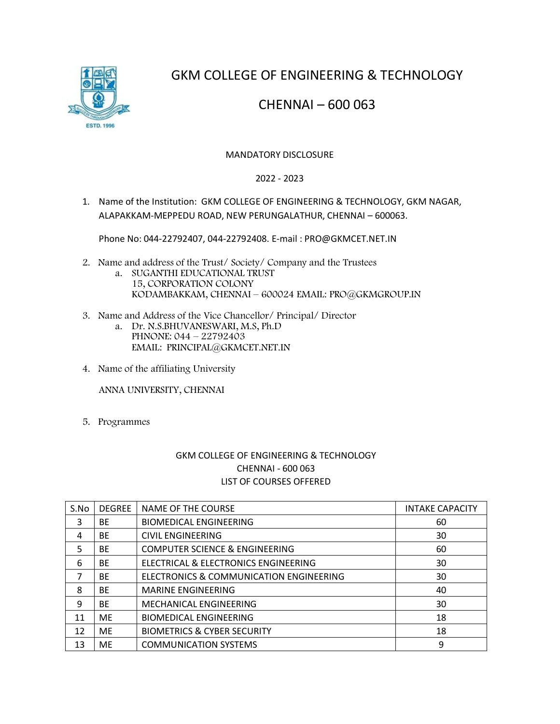

GKM COLLEGE OF ENGINEERING & TECHNOLOGY

CHENNAI – 600 063

## MANDATORY DISCLOSURE

2022 - 2023

1. Name of the Institution: GKM COLLEGE OF ENGINEERING & TECHNOLOGY, GKM NAGAR, ALAPAKKAM-MEPPEDU ROAD, NEW PERUNGALATHUR, CHENNAI – 600063.

Phone No: 044-22792407, 044-22792408. E-mail : PRO@GKMCET.NET.IN

- 2. Name and address of the Trust/ Society/ Company and the Trustees
	- a. SUGANTHI EDUCATIONAL TRUST 15, CORPORATION COLONY KODAMBAKKAM, CHENNAI – 600024 EMAIL: PRO@GKMGROUP.IN
- 3. Name and Address of the Vice Chancellor/ Principal/ Director
	- a. Dr. N.S.BHUVANESWARI, M.S, Ph.D PHNONE: 044 – 22792403 EMAIL: PRINCIPAL@GKMCET.NET.IN
- 4. Name of the affiliating University

ANNA UNIVERSITY, CHENNAI

5. Programmes

## GKM COLLEGE OF ENGINEERING & TECHNOLOGY CHENNAI - 600 063 LIST OF COURSES OFFERED

| S.No | <b>DEGREE</b> | NAME OF THE COURSE                        | <b>INTAKE CAPACITY</b> |
|------|---------------|-------------------------------------------|------------------------|
| 3    | <b>BE</b>     | <b>BIOMEDICAL ENGINEERING</b>             | 60                     |
| 4    | <b>BE</b>     | <b>CIVIL ENGINEERING</b>                  | 30                     |
| 5    | <b>BE</b>     | <b>COMPUTER SCIENCE &amp; ENGINEERING</b> | 60                     |
| 6    | <b>BE</b>     | ELECTRICAL & ELECTRONICS ENGINEERING      | 30                     |
| 7    | <b>BE</b>     | ELECTRONICS & COMMUNICATION ENGINEERING   | 30                     |
| 8    | <b>BE</b>     | <b>MARINE ENGINEERING</b>                 | 40                     |
| 9    | <b>BF</b>     | MECHANICAL ENGINEERING                    | 30                     |
| 11   | <b>ME</b>     | <b>BIOMEDICAL ENGINEERING</b>             | 18                     |
| 12   | ME.           | <b>BIOMETRICS &amp; CYBER SECURITY</b>    | 18                     |
| 13   | ME            | <b>COMMUNICATION SYSTEMS</b>              | 9                      |